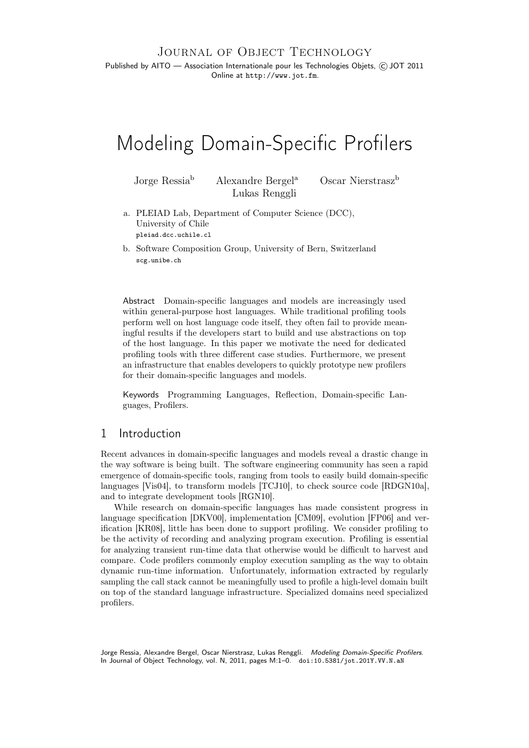JOURNAL OF OBJECT TECHNOLOGY

Published by AITO — Association Internationale pour les Technologies Objets, © JOT 2011 Online at <http://www.jot.fm>.

# Modeling Domain-Specific Profilers

[Jorge Ressia](#page-20-0)<sup>[b](#page-0-0)</sup> [Alexandre Bergel](#page-20-1)<sup>[a](#page-0-1)</sup> [Oscar Nierstrasz](#page-20-2)<sup>b</sup> [Lukas Renggli](#page-20-3)

- <span id="page-0-1"></span>a. PLEIAD Lab, Department of Computer Science (DCC), University of Chile [pleiad.dcc.uchile.cl](http://pleiad.dcc.uchile.cl/)
- <span id="page-0-0"></span>b. Software Composition Group, University of Bern, Switzerland [scg.unibe.ch](http://scg.unibe.ch/)

Abstract Domain-specific languages and models are increasingly used within general-purpose host languages. While traditional profiling tools perform well on host language code itself, they often fail to provide meaningful results if the developers start to build and use abstractions on top of the host language. In this paper we motivate the need for dedicated profiling tools with three different case studies. Furthermore, we present an infrastructure that enables developers to quickly prototype new profilers for their domain-specific languages and models.

Keywords Programming Languages, Reflection, Domain-specific Languages, Profilers.

## 1 Introduction

Recent advances in domain-specific languages and models reveal a drastic change in the way software is being built. The software engineering community has seen a rapid emergence of domain-specific tools, ranging from tools to easily build domain-specific languages [\[Vis04\]](#page-19-0), to transform models [\[TCJ10\]](#page-19-1), to check source code [\[RDGN10a\]](#page-18-0), and to integrate development tools [\[RGN10\]](#page-19-2).

While research on domain-specific languages has made consistent progress in language specification [\[DKV00\]](#page-17-0), implementation [\[CM09\]](#page-17-1), evolution [\[FP06\]](#page-17-2) and verification [\[KR08\]](#page-18-1), little has been done to support profiling. We consider profiling to be the activity of recording and analyzing program execution. Profiling is essential for analyzing transient run-time data that otherwise would be difficult to harvest and compare. Code profilers commonly employ execution sampling as the way to obtain dynamic run-time information. Unfortunately, information extracted by regularly sampling the call stack cannot be meaningfully used to profile a high-level domain built on top of the standard language infrastructure. Specialized domains need specialized profilers.

Jorge Ressia, Alexandre Bergel, Oscar Nierstrasz, Lukas Renggli. Modeling Domain-Specific Profilers. In [Journal of Object Technology, vol. N, 2011,](http://dx.doi.org/10.5381/jot.201Y.VV.N.aN) pages M:1–0. [doi:10.5381/jot.201Y.VV.N.aN](http://dx.doi.org/10.5381/jot.201Y.VV.N.aN)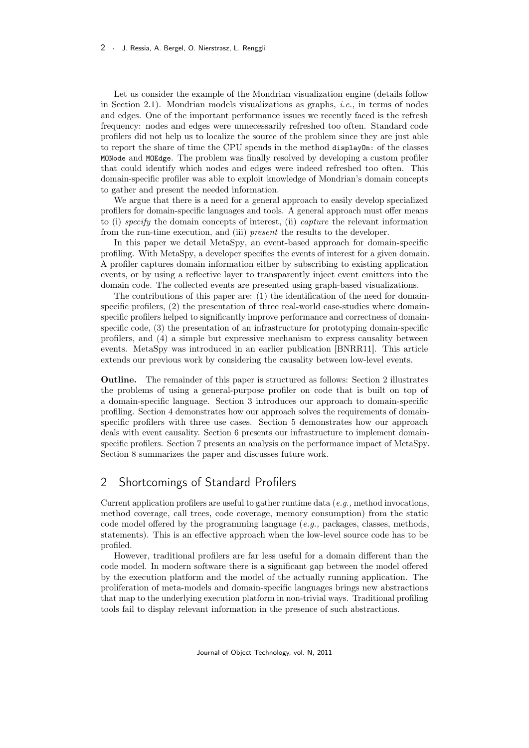Let us consider the example of the Mondrian visualization engine (details follow in [Section 2.1\)](#page-2-0). Mondrian models visualizations as graphs, *i.e.*, in terms of nodes and edges. One of the important performance issues we recently faced is the refresh frequency: nodes and edges were unnecessarily refreshed too often. Standard code profilers did not help us to localize the source of the problem since they are just able to report the share of time the CPU spends in the method displayOn: of the classes MONode and MOEdge. The problem was finally resolved by developing a custom profiler that could identify which nodes and edges were indeed refreshed too often. This domain-specific profiler was able to exploit knowledge of Mondrian's domain concepts to gather and present the needed information.

We argue that there is a need for a general approach to easily develop specialized profilers for domain-specific languages and tools. A general approach must offer means to (i) specify the domain concepts of interest, (ii) capture the relevant information from the run-time execution, and (iii) present the results to the developer.

In this paper we detail MetaSpy, an event-based approach for domain-specific profiling. With MetaSpy, a developer specifies the events of interest for a given domain. A profiler captures domain information either by subscribing to existing application events, or by using a reflective layer to transparently inject event emitters into the domain code. The collected events are presented using graph-based visualizations.

The contributions of this paper are: (1) the identification of the need for domainspecific profilers, (2) the presentation of three real-world case-studies where domainspecific profilers helped to significantly improve performance and correctness of domainspecific code, (3) the presentation of an infrastructure for prototyping domain-specific profilers, and (4) a simple but expressive mechanism to express causality between events. MetaSpy was introduced in an earlier publication [\[BNRR11\]](#page-17-3). This article extends our previous work by considering the causality between low-level events.

Outline. The remainder of this paper is structured as follows: [Section 2](#page-1-0) illustrates the problems of using a general-purpose profiler on code that is built on top of a domain-specific language. [Section 3](#page-4-0) introduces our approach to domain-specific profiling. [Section 4](#page-6-0) demonstrates how our approach solves the requirements of domainspecific profilers with three use cases. [Section 5](#page-10-0) demonstrates how our approach deals with event causality. [Section 6](#page-12-0) presents our infrastructure to implement domainspecific profilers. [Section 7](#page-15-0) presents an analysis on the performance impact of MetaSpy. [Section 8](#page-16-0) summarizes the paper and discusses future work.

# <span id="page-1-0"></span>2 Shortcomings of Standard Profilers

Current application profilers are useful to gather runtime data  $(e.g.,$  method invocations, method coverage, call trees, code coverage, memory consumption) from the static code model offered by the programming language  $(e.g.,$  packages, classes, methods, statements). This is an effective approach when the low-level source code has to be profiled.

However, traditional profilers are far less useful for a domain different than the code model. In modern software there is a significant gap between the model offered by the execution platform and the model of the actually running application. The proliferation of meta-models and domain-specific languages brings new abstractions that map to the underlying execution platform in non-trivial ways. Traditional profiling tools fail to display relevant information in the presence of such abstractions.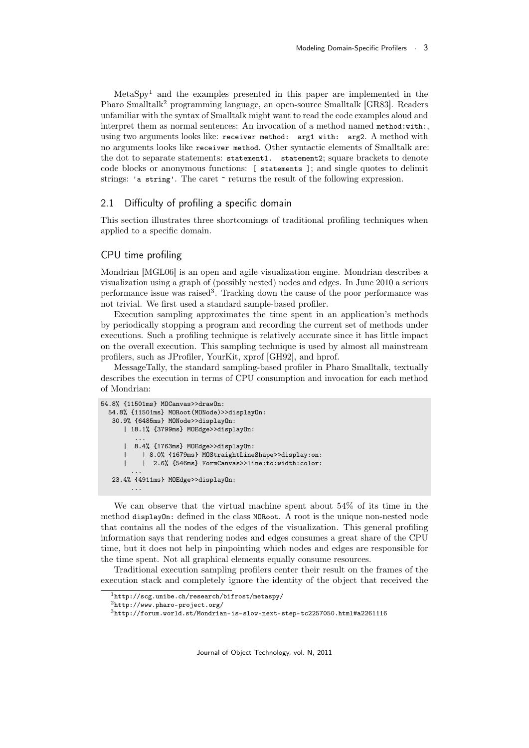MetaSpy<sup>[1](#page-2-1)</sup> and the examples presented in this paper are implemented in the Pharo Smalltalk[2](#page-2-2) programming language, an open-source Smalltalk [\[GR83\]](#page-17-4). Readers unfamiliar with the syntax of Smalltalk might want to read the code examples aloud and interpret them as normal sentences: An invocation of a method named method:with:, using two arguments looks like: receiver method: arg1 with: arg2. A method with no arguments looks like receiver method. Other syntactic elements of Smalltalk are: the dot to separate statements: statement1. statement2; square brackets to denote code blocks or anonymous functions: [ statements ]; and single quotes to delimit strings: 'a string'. The caret ^ returns the result of the following expression.

#### <span id="page-2-0"></span>2.1 Difficulty of profiling a specific domain

This section illustrates three shortcomings of traditional profiling techniques when applied to a specific domain.

### CPU time profiling

Mondrian [\[MGL06\]](#page-18-2) is an open and agile visualization engine. Mondrian describes a visualization using a graph of (possibly nested) nodes and edges. In June 2010 a serious performance issue was raised<sup>[3](#page-2-3)</sup>. Tracking down the cause of the poor performance was not trivial. We first used a standard sample-based profiler.

Execution sampling approximates the time spent in an application's methods by periodically stopping a program and recording the current set of methods under executions. Such a profiling technique is relatively accurate since it has little impact on the overall execution. This sampling technique is used by almost all mainstream profilers, such as JProfiler, YourKit, xprof [\[GH92\]](#page-17-5), and hprof.

MessageTally, the standard sampling-based profiler in Pharo Smalltalk, textually describes the execution in terms of CPU consumption and invocation for each method of Mondrian:

```
54.8% {11501ms} MOCanvas>>drawOn:
 54.8% {11501ms} MORoot(MONode)>>displayOn:
  30.9% {6485ms} MONode>>displayOn:
      | 18.1% {3799ms} MOEdge>>displayOn:
         ...
         | 8.4% {1763ms} MOEdge>>displayOn:
           | | 8.0% {1679ms} MOStraightLineShape>>display:on:
           | | 2.6% {546ms} FormCanvas>>line:to:width:color:
        ...
  23.4% {4911ms} MOEdge>>displayOn:
        ...
```
We can observe that the virtual machine spent about 54% of its time in the method displayOn: defined in the class MORoot. A root is the unique non-nested node that contains all the nodes of the edges of the visualization. This general profiling information says that rendering nodes and edges consumes a great share of the CPU time, but it does not help in pinpointing which nodes and edges are responsible for the time spent. Not all graphical elements equally consume resources.

Traditional execution sampling profilers center their result on the frames of the execution stack and completely ignore the identity of the object that received the

[Journal of Object Technology, vol. N, 2011](http://dx.doi.org/10.5381/jot.201Y.VV.N.aN)

<span id="page-2-1"></span><sup>1</sup><http://scg.unibe.ch/research/bifrost/metaspy/>

<span id="page-2-2"></span><sup>2</sup><http://www.pharo-project.org/>

<span id="page-2-3"></span><sup>3</sup><http://forum.world.st/Mondrian-is-slow-next-step-tc2257050.html#a2261116>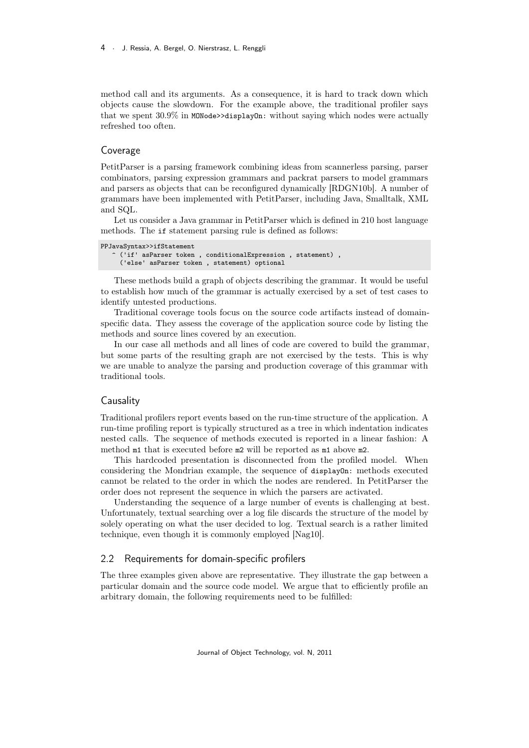method call and its arguments. As a consequence, it is hard to track down which objects cause the slowdown. For the example above, the traditional profiler says that we spent 30.9% in MONode>>displayOn: without saying which nodes were actually refreshed too often.

## Coverage

PetitParser is a parsing framework combining ideas from scannerless parsing, parser combinators, parsing expression grammars and packrat parsers to model grammars and parsers as objects that can be reconfigured dynamically [\[RDGN10b\]](#page-18-3). A number of grammars have been implemented with PetitParser, including Java, Smalltalk, XML and SQL.

Let us consider a [Java grammar](http://www.squeaksource.com/PetitJava.html) in PetitParser which is defined in 210 host language methods. The if statement parsing rule is defined as follows:

```
PPJavaSyntax>>ifStatement
     \left( \, 'if' as<br>Parser token , conditional<br>Expression , statement) ,
     ('else' asParser token , statement) optional
```
These methods build a graph of objects describing the grammar. It would be useful to establish how much of the grammar is actually exercised by a set of test cases to identify untested productions.

Traditional coverage tools focus on the source code artifacts instead of domainspecific data. They assess the coverage of the application source code by listing the methods and source lines covered by an execution.

In our case all methods and all lines of code are covered to build the grammar, but some parts of the resulting graph are not exercised by the tests. This is why we are unable to analyze the parsing and production coverage of this grammar with traditional tools.

#### **Causality**

Traditional profilers report events based on the run-time structure of the application. A run-time profiling report is typically structured as a tree in which indentation indicates nested calls. The sequence of methods executed is reported in a linear fashion: A method m1 that is executed before m2 will be reported as m1 above m2.

This hardcoded presentation is disconnected from the profiled model. When considering the Mondrian example, the sequence of displayOn: methods executed cannot be related to the order in which the nodes are rendered. In PetitParser the order does not represent the sequence in which the parsers are activated.

Understanding the sequence of a large number of events is challenging at best. Unfortunately, textual searching over a log file discards the structure of the model by solely operating on what the user decided to log. Textual search is a rather limited technique, even though it is commonly employed [\[Nag10\]](#page-18-4).

#### 2.2 Requirements for domain-specific profilers

The three examples given above are representative. They illustrate the gap between a particular domain and the source code model. We argue that to efficiently profile an arbitrary domain, the following requirements need to be fulfilled: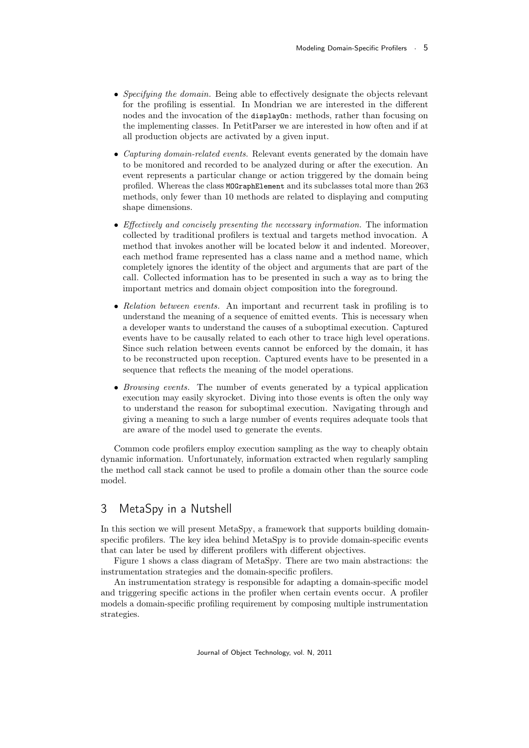- Specifying the domain. Being able to effectively designate the objects relevant for the profiling is essential. In Mondrian we are interested in the different nodes and the invocation of the displayOn: methods, rather than focusing on the implementing classes. In PetitParser we are interested in how often and if at all production objects are activated by a given input.
- *Capturing domain-related events.* Relevant events generated by the domain have to be monitored and recorded to be analyzed during or after the execution. An event represents a particular change or action triggered by the domain being profiled. Whereas the class MOGraphElement and its subclasses total more than 263 methods, only fewer than 10 methods are related to displaying and computing shape dimensions.
- Effectively and concisely presenting the necessary information. The information collected by traditional profilers is textual and targets method invocation. A method that invokes another will be located below it and indented. Moreover, each method frame represented has a class name and a method name, which completely ignores the identity of the object and arguments that are part of the call. Collected information has to be presented in such a way as to bring the important metrics and domain object composition into the foreground.
- Relation between events. An important and recurrent task in profiling is to understand the meaning of a sequence of emitted events. This is necessary when a developer wants to understand the causes of a suboptimal execution. Captured events have to be causally related to each other to trace high level operations. Since such relation between events cannot be enforced by the domain, it has to be reconstructed upon reception. Captured events have to be presented in a sequence that reflects the meaning of the model operations.
- Browsing events. The number of events generated by a typical application execution may easily skyrocket. Diving into those events is often the only way to understand the reason for suboptimal execution. Navigating through and giving a meaning to such a large number of events requires adequate tools that are aware of the model used to generate the events.

Common code profilers employ execution sampling as the way to cheaply obtain dynamic information. Unfortunately, information extracted when regularly sampling the method call stack cannot be used to profile a domain other than the source code model.

# <span id="page-4-0"></span>3 MetaSpy in a Nutshell

In this section we will present MetaSpy, a framework that supports building domainspecific profilers. The key idea behind MetaSpy is to provide domain-specific events that can later be used by different profilers with different objectives.

[Figure 1](#page-5-0) shows a class diagram of MetaSpy. There are two main abstractions: the instrumentation strategies and the domain-specific profilers.

An instrumentation strategy is responsible for adapting a domain-specific model and triggering specific actions in the profiler when certain events occur. A profiler models a domain-specific profiling requirement by composing multiple instrumentation strategies.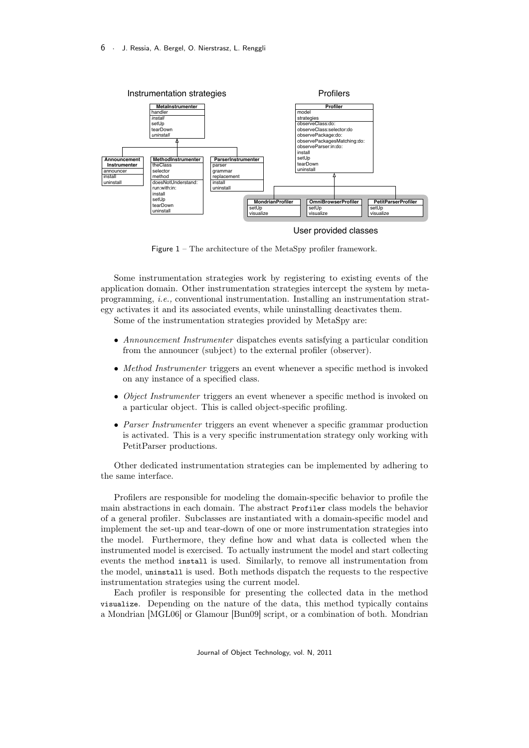<span id="page-5-0"></span>

User provided classes

Figure 1 – The architecture of the MetaSpy profiler framework.

Some instrumentation strategies work by registering to existing events of the application domain. Other instrumentation strategies intercept the system by metaprogramming, *i.e.*, conventional instrumentation. Installing an instrumentation strategy activates it and its associated events, while uninstalling deactivates them.

Some of the instrumentation strategies provided by MetaSpy are:

- Announcement Instrumenter dispatches events satisfying a particular condition from the announcer (subject) to the external profiler (observer).
- *Method Instrumenter* triggers an event whenever a specific method is invoked on any instance of a specified class.
- Object Instrumenter triggers an event whenever a specific method is invoked on a particular object. This is called object-specific profiling.
- Parser Instrumenter triggers an event whenever a specific grammar production is activated. This is a very specific instrumentation strategy only working with PetitParser productions.

Other dedicated instrumentation strategies can be implemented by adhering to the same interface.

Profilers are responsible for modeling the domain-specific behavior to profile the main abstractions in each domain. The abstract Profiler class models the behavior of a general profiler. Subclasses are instantiated with a domain-specific model and implement the set-up and tear-down of one or more instrumentation strategies into the model. Furthermore, they define how and what data is collected when the instrumented model is exercised. To actually instrument the model and start collecting events the method install is used. Similarly, to remove all instrumentation from the model, uninstall is used. Both methods dispatch the requests to the respective instrumentation strategies using the current model.

Each profiler is responsible for presenting the collected data in the method visualize. Depending on the nature of the data, this method typically contains a Mondrian [\[MGL06\]](#page-18-2) or Glamour [\[Bun09\]](#page-17-6) script, or a combination of both. Mondrian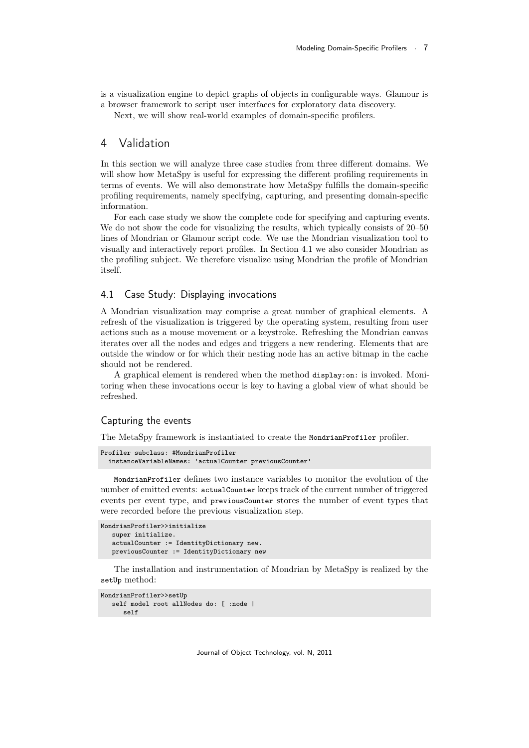is a visualization engine to depict graphs of objects in configurable ways. Glamour is a browser framework to script user interfaces for exploratory data discovery.

Next, we will show real-world examples of domain-specific profilers.

#### <span id="page-6-0"></span>4 Validation

In this section we will analyze three case studies from three different domains. We will show how MetaSpy is useful for expressing the different profiling requirements in terms of events. We will also demonstrate how MetaSpy fulfills the domain-specific profiling requirements, namely specifying, capturing, and presenting domain-specific information.

For each case study we show the complete code for specifying and capturing events. We do not show the code for visualizing the results, which typically consists of 20–50 lines of Mondrian or Glamour script code. We use the Mondrian visualization tool to visually and interactively report profiles. In [Section 4.1](#page-6-1) we also consider Mondrian as the profiling subject. We therefore visualize using Mondrian the profile of Mondrian itself.

#### <span id="page-6-1"></span>4.1 Case Study: Displaying invocations

A Mondrian visualization may comprise a great number of graphical elements. A refresh of the visualization is triggered by the operating system, resulting from user actions such as a mouse movement or a keystroke. Refreshing the Mondrian canvas iterates over all the nodes and edges and triggers a new rendering. Elements that are outside the window or for which their nesting node has an active bitmap in the cache should not be rendered.

A graphical element is rendered when the method display:on: is invoked. Monitoring when these invocations occur is key to having a global view of what should be refreshed.

#### Capturing the events

The MetaSpy framework is instantiated to create the MondrianProfiler profiler.

```
Profiler subclass: #MondrianProfiler
 instanceVariableNames: 'actualCounter previousCounter'
```
MondrianProfiler defines two instance variables to monitor the evolution of the number of emitted events: actualCounter keeps track of the current number of triggered events per event type, and previousCounter stores the number of event types that were recorded before the previous visualization step.

```
MondrianProfiler>>initialize
  super initialize.
   actualCounter := IdentityDictionary new.
  previousCounter := IdentityDictionary new
```
The installation and instrumentation of Mondrian by MetaSpy is realized by the setUp method:

```
MondrianProfiler>>setUp
  self model root allNodes do: [ :node |
      self
```
[Journal of Object Technology, vol. N, 2011](http://dx.doi.org/10.5381/jot.201Y.VV.N.aN)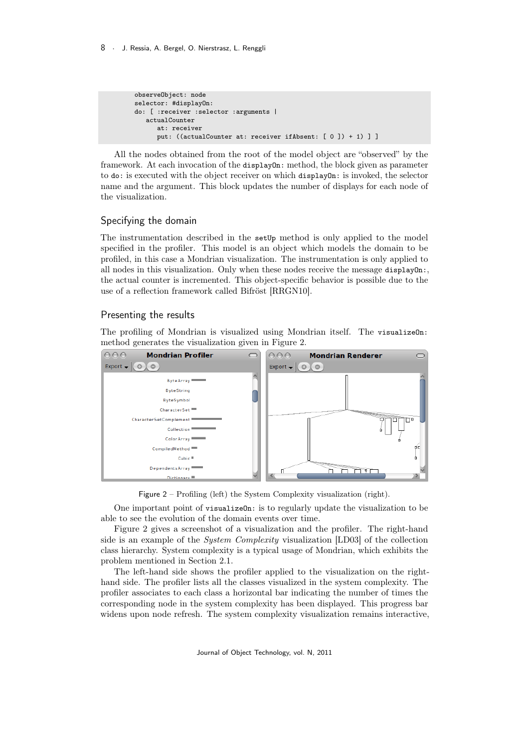```
observeObject: node
selector: #displayOn:
do: [ :receiver :selector :arguments |
   actualCounter
      at: receiver
      put: ((actualCounter at: receiver ifAbsent: [ 0 ]) + 1) ] ]
```
All the nodes obtained from the root of the model object are "observed" by the framework. At each invocation of the displayOn: method, the block given as parameter to do: is executed with the object receiver on which displayOn: is invoked, the selector name and the argument. This block updates the number of displays for each node of the visualization.

#### Specifying the domain

The instrumentation described in the setUp method is only applied to the model specified in the profiler. This model is an object which models the domain to be profiled, in this case a Mondrian visualization. The instrumentation is only applied to all nodes in this visualization. Only when these nodes receive the message  $displayOn:$ the actual counter is incremented. This object-specific behavior is possible due to the use of a reflection framework called Bifröst [\[RRGN10\]](#page-19-3).

#### Presenting the results

The profiling of Mondrian is visualized using Mondrian itself. The visualizeOn: method generates the visualization given in [Figure 2.](#page-7-0)

<span id="page-7-0"></span>

Figure 2 – Profiling (left) the System Complexity visualization (right).

One important point of visualizeOn: is to regularly update the visualization to be able to see the evolution of the domain events over time.

[Figure 2](#page-7-0) gives a screenshot of a visualization and the profiler. The right-hand side is an example of the System Complexity visualization [\[LD03\]](#page-18-5) of the collection class hierarchy. System complexity is a typical usage of Mondrian, which exhibits the problem mentioned in [Section 2.1.](#page-2-0)

The left-hand side shows the profiler applied to the visualization on the righthand side. The profiler lists all the classes visualized in the system complexity. The profiler associates to each class a horizontal bar indicating the number of times the corresponding node in the system complexity has been displayed. This progress bar widens upon node refresh. The system complexity visualization remains interactive,

[Journal of Object Technology, vol. N, 2011](http://dx.doi.org/10.5381/jot.201Y.VV.N.aN)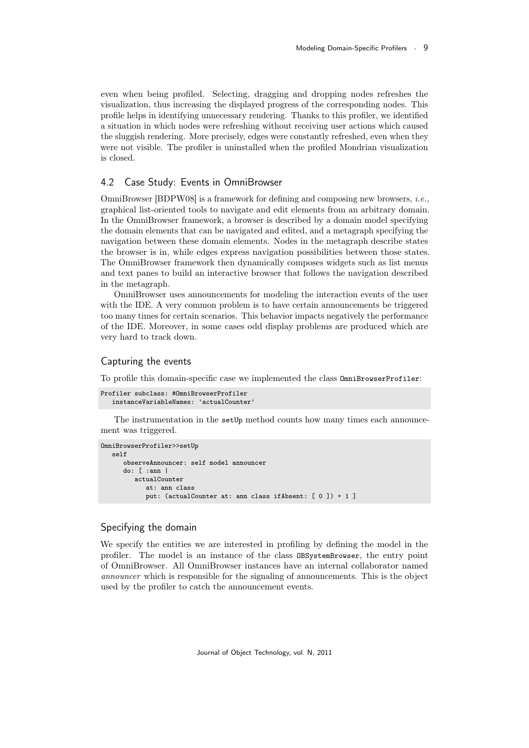even when being profiled. Selecting, dragging and dropping nodes refreshes the visualization, thus increasing the displayed progress of the corresponding nodes. This profile helps in identifying unnecessary rendering. Thanks to this profiler, we identified a situation in which nodes were refreshing without receiving user actions which caused the sluggish rendering. More precisely, edges were constantly refreshed, even when they were not visible. The profiler is uninstalled when the profiled Mondrian visualization is closed.

### 4.2 Case Study: Events in OmniBrowser

OmniBrowser [\[BDPW08\]](#page-16-1) is a framework for defining and composing new browsers, i.e., graphical list-oriented tools to navigate and edit elements from an arbitrary domain. In the OmniBrowser framework, a browser is described by a domain model specifying the domain elements that can be navigated and edited, and a metagraph specifying the navigation between these domain elements. Nodes in the metagraph describe states the browser is in, while edges express navigation possibilities between those states. The OmniBrowser framework then dynamically composes widgets such as list menus and text panes to build an interactive browser that follows the navigation described in the metagraph.

OmniBrowser uses announcements for modeling the interaction events of the user with the IDE. A very common problem is to have certain announcements be triggered too many times for certain scenarios. This behavior impacts negatively the performance of the IDE. Moreover, in some cases odd display problems are produced which are very hard to track down.

#### Capturing the events

To profile this domain-specific case we implemented the class OmniBrowserProfiler:

```
Profiler subclass: #OmniBrowserProfiler
   instanceVariableNames: 'actualCounter'
```
The instrumentation in the setUp method counts how many times each announcement was triggered.

```
OmniBrowserProfiler>>setUp
  self
     observeAnnouncer: self model announcer
     do: [ :ann |
        actualCounter
            at: ann class
           put: (actualCounter at: ann class ifAbsent: [ 0 ]) + 1 ]
```
## Specifying the domain

We specify the entities we are interested in profiling by defining the model in the profiler. The model is an instance of the class OBSystemBrowser, the entry point of OmniBrowser. All OmniBrowser instances have an internal collaborator named announcer which is responsible for the signaling of announcements. This is the object used by the profiler to catch the announcement events.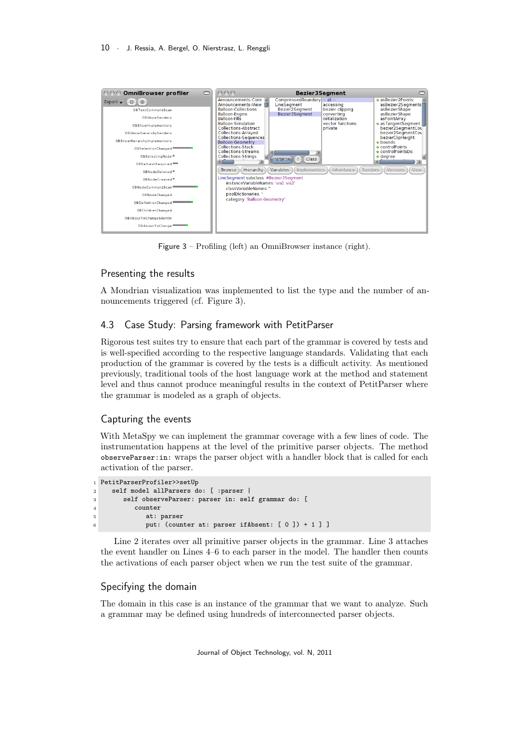<span id="page-9-0"></span>

Figure 3 – Profiling (left) an OmniBrowser instance (right).

#### Presenting the results

A Mondrian visualization was implemented to list the type and the number of announcements triggered (cf. [Figure 3\)](#page-9-0).

#### 4.3 Case Study: Parsing framework with PetitParser

Rigorous test suites try to ensure that each part of the grammar is covered by tests and is well-specified according to the respective language standards. Validating that each production of the grammar is covered by the tests is a difficult activity. As mentioned previously, traditional tools of the host language work at the method and statement level and thus cannot produce meaningful results in the context of PetitParser where the grammar is modeled as a graph of objects.

#### Capturing the events

With MetaSpy we can implement the grammar coverage with a few lines of code. The instrumentation happens at the level of the primitive parser objects. The method observeParser:in: wraps the parser object with a handler block that is called for each activation of the parser.

```
1 PetitParserProfiler>>setUp
2 self model allParsers do: [ :parser |
3 self observeParser: parser in: self grammar do: [
         counter
5 at: parser
6 put: (counter at: parser ifAbsent: [ 0 ]) + 1 ] ]
```
Line 2 iterates over all primitive parser objects in the grammar. Line 3 attaches the event handler on Lines 4–6 to each parser in the model. The handler then counts the activations of each parser object when we run the test suite of the grammar.

#### Specifying the domain

The domain in this case is an instance of the grammar that we want to analyze. Such a grammar may be defined using hundreds of interconnected parser objects.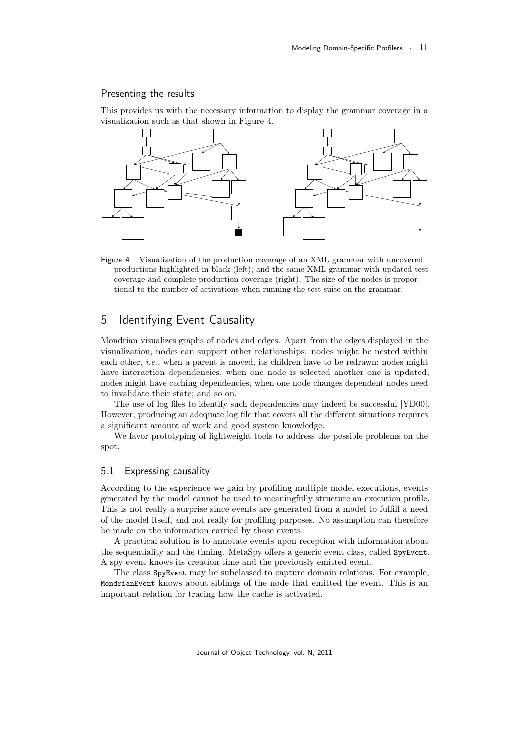#### Presenting the results

This provides us with the necessary information to display the grammar coverage in a visualization such as that shown in [Figure 4.](#page-10-1)

<span id="page-10-1"></span>

Figure 4 – Visualization of the production coverage of an XML grammar with uncovered productions highlighted in black (left); and the same XML grammar with updated test coverage and complete production coverage (right). The size of the nodes is proportional to the number of activations when running the test suite on the grammar.

# <span id="page-10-0"></span>5 Identifying Event Causality

Mondrian visualizes graphs of nodes and edges. Apart from the edges displayed in the visualization, nodes can support other relationships: nodes might be nested within each other, *i.e.*, when a parent is moved, its children have to be redrawn; nodes might have interaction dependencies, when one node is selected another one is updated; nodes might have caching dependencies, when one node changes dependent nodes need to invalidate their state; and so on.

The use of log files to identify such dependencies may indeed be successful [\[YD00\]](#page-19-4). However, producing an adequate log file that covers all the different situations requires a significant amount of work and good system knowledge.

We favor prototyping of lightweight tools to address the possible problems on the spot.

#### 5.1 Expressing causality

According to the experience we gain by profiling multiple model executions, events generated by the model cannot be used to meaningfully structure an execution profile. This is not really a surprise since events are generated from a model to fulfill a need of the model itself, and not really for profiling purposes. No assumption can therefore be made on the information carried by those events.

A practical solution is to annotate events upon reception with information about the sequentiality and the timing. MetaSpy offers a generic event class, called SpyEvent. A spy event knows its creation time and the previously emitted event.

The class SpyEvent may be subclassed to capture domain relations. For example, MondrianEvent knows about siblings of the node that emitted the event. This is an important relation for tracing how the cache is activated.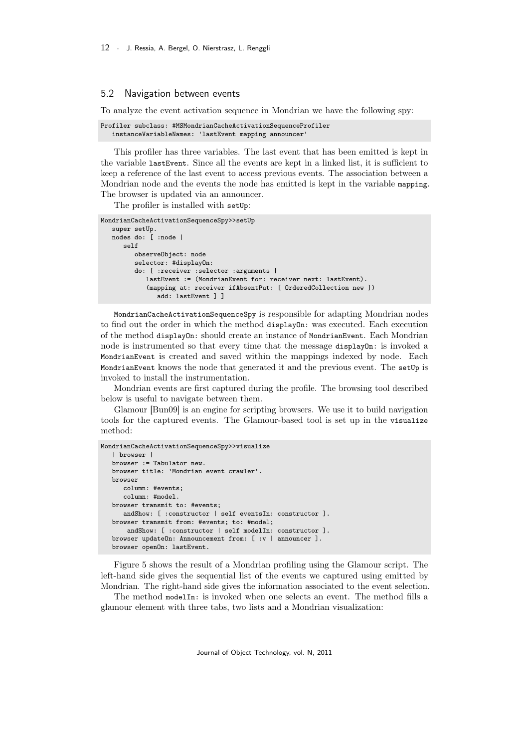#### 5.2 Navigation between events

To analyze the event activation sequence in Mondrian we have the following spy:

```
Profiler subclass: #MSMondrianCacheActivationSequenceProfiler
   instanceVariableNames: 'lastEvent mapping announcer'
```
This profiler has three variables. The last event that has been emitted is kept in the variable lastEvent. Since all the events are kept in a linked list, it is sufficient to keep a reference of the last event to access previous events. The association between a Mondrian node and the events the node has emitted is kept in the variable mapping. The browser is updated via an announcer.

The profiler is installed with setUp:

```
MondrianCacheActivationSequenceSpy>>setUp
   super setUp.
   nodes do: [ :node |
      self
         observeObject: node
         selector: #displayOn:
         do: [ :receiver :selector :arguments |
            lastEvent := (MondrianEvent for: receiver next: lastEvent).
            (mapping at: receiver ifAbsentPut: [ OrderedCollection new ])
               add: lastEvent ] ]
```
MondrianCacheActivationSequenceSpy is responsible for adapting Mondrian nodes to find out the order in which the method displayOn: was executed. Each execution of the method displayOn: should create an instance of MondrianEvent. Each Mondrian node is instrumented so that every time that the message display on: is invoked a MondrianEvent is created and saved within the mappings indexed by node. Each MondrianEvent knows the node that generated it and the previous event. The setUp is invoked to install the instrumentation.

Mondrian events are first captured during the profile. The browsing tool described below is useful to navigate between them.

Glamour [\[Bun09\]](#page-17-6) is an engine for scripting browsers. We use it to build navigation tools for the captured events. The Glamour-based tool is set up in the visualize method:

#### MondrianCacheActivationSequenceSpy>>visualize

```
| browser |
browser := Tabulator new.
browser title: 'Mondrian event crawler'.
browser
   column: #events;
   column: #model.
browser transmit to: #events;
   andShow: [ :constructor | self eventsIn: constructor ].
browser transmit from: #events; to: #model;
    andShow: [ :constructor | self modelIn: constructor ].
browser updateOn: Announcement from: [ :v | announcer ].
browser openOn: lastEvent.
```
[Figure 5](#page-12-1) shows the result of a Mondrian profiling using the Glamour script. The left-hand side gives the sequential list of the events we captured using emitted by Mondrian. The right-hand side gives the information associated to the event selection.

The method modelIn: is invoked when one selects an event. The method fills a glamour element with three tabs, two lists and a Mondrian visualization: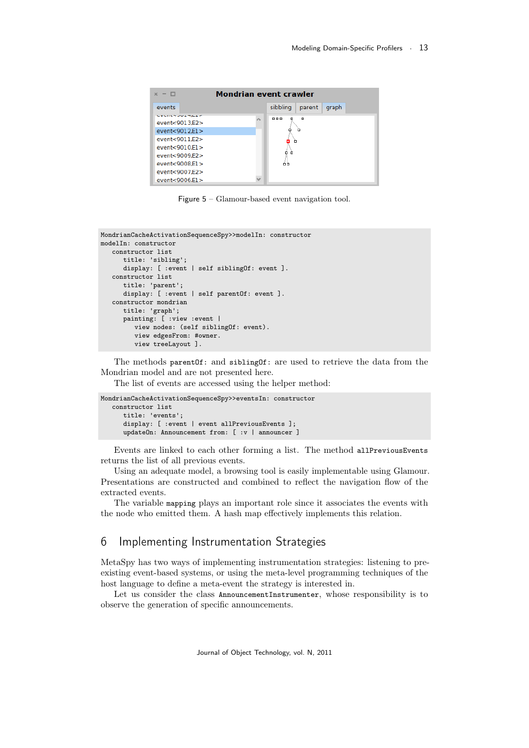<span id="page-12-1"></span>

| <b>Mondrian event crawler</b><br>- 63<br>$\times$<br>$\overline{\phantom{a}}$                                               |        |                                                      |             |       |  |
|-----------------------------------------------------------------------------------------------------------------------------|--------|------------------------------------------------------|-------------|-------|--|
| events                                                                                                                      |        | sibbling                                             | parent      | graph |  |
| ビタビロビン プリエ すにエア<br>event<9013.E2><br>event<9012.E1><br>event<9011.E2><br>event<9010,E1><br>event<9009.E2><br>event<9008.E1> | 八      | <b>000</b><br>$\Box$<br>n<br>ò.<br>п<br>۰<br>α<br>00 | $\Box$<br>٠ |       |  |
| event<9007.E2><br>events9006.E1>                                                                                            | $\sim$ |                                                      |             |       |  |

Figure 5 – Glamour-based event navigation tool.

```
MondrianCacheActivationSequenceSpy>>modelIn: constructor
modelIn: constructor
   constructor list
      title: 'sibling';
     display: [ :event | self siblingOf: event ].
   constructor list
      title: 'parent';
      display: [ :event | self parentOf: event ].
   constructor mondrian
      title: 'graph';
      painting: [ :view :event |
         view nodes: (self siblingOf: event).
         view edgesFrom: #owner.
         view treeLayout ].
```
The methods parentOf: and siblingOf: are used to retrieve the data from the Mondrian model and are not presented here.

The list of events are accessed using the helper method:

```
MondrianCacheActivationSequenceSpy>>eventsIn: constructor
   constructor list
      title: 'events';
      display: [ :event | event allPreviousEvents ];
      updateOn: Announcement from: [ :v | announcer ]
```
Events are linked to each other forming a list. The method allPreviousEvents returns the list of all previous events.

Using an adequate model, a browsing tool is easily implementable using Glamour. Presentations are constructed and combined to reflect the navigation flow of the extracted events.

The variable mapping plays an important role since it associates the events with the node who emitted them. A hash map effectively implements this relation.

# <span id="page-12-0"></span>6 Implementing Instrumentation Strategies

MetaSpy has two ways of implementing instrumentation strategies: listening to preexisting event-based systems, or using the meta-level programming techniques of the host language to define a meta-event the strategy is interested in.

Let us consider the class AnnouncementInstrumenter, whose responsibility is to observe the generation of specific announcements.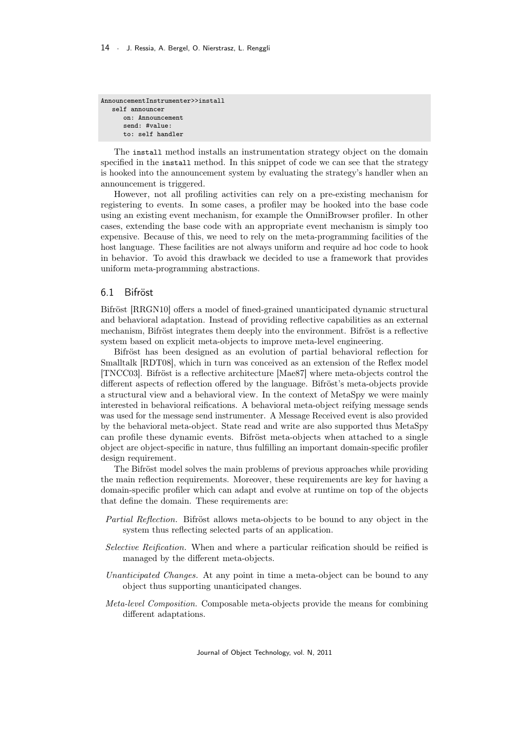```
AnnouncementInstrumenter>>install
   self announcer
      on: Announcement
      send: #value:
      to: self handler
```
The install method installs an instrumentation strategy object on the domain specified in the install method. In this snippet of code we can see that the strategy is hooked into the announcement system by evaluating the strategy's handler when an announcement is triggered.

However, not all profiling activities can rely on a pre-existing mechanism for registering to events. In some cases, a profiler may be hooked into the base code using an existing event mechanism, for example the OmniBrowser profiler. In other cases, extending the base code with an appropriate event mechanism is simply too expensive. Because of this, we need to rely on the meta-programming facilities of the host language. These facilities are not always uniform and require ad hoc code to hook in behavior. To avoid this drawback we decided to use a framework that provides uniform meta-programming abstractions.

#### 6.1 Bifröst

Bifröst [\[RRGN10\]](#page-19-3) offers a model of fined-grained unanticipated dynamic structural and behavioral adaptation. Instead of providing reflective capabilities as an external mechanism, Bifröst integrates them deeply into the environment. Bifröst is a reflective system based on explicit meta-objects to improve meta-level engineering.

Bifröst has been designed as an evolution of partial behavioral reflection for Smalltalk [\[RDT08\]](#page-18-6), which in turn was conceived as an extension of the Reflex model [\[TNCC03\]](#page-19-5). Bifröst is a reflective architecture [\[Mae87\]](#page-18-7) where meta-objects control the different aspects of reflection offered by the language. Bifröst's meta-objects provide a structural view and a behavioral view. In the context of MetaSpy we were mainly interested in behavioral reifications. A behavioral meta-object reifying message sends was used for the message send instrumenter. A Message Received event is also provided by the behavioral meta-object. State read and write are also supported thus MetaSpy can profile these dynamic events. Bifröst meta-objects when attached to a single object are object-specific in nature, thus fulfilling an important domain-specific profiler design requirement.

The Bifröst model solves the main problems of previous approaches while providing the main reflection requirements. Moreover, these requirements are key for having a domain-specific profiler which can adapt and evolve at runtime on top of the objects that define the domain. These requirements are:

- Partial Reflection. Bifröst allows meta-objects to be bound to any object in the system thus reflecting selected parts of an application.
- Selective Reification. When and where a particular reification should be reified is managed by the different meta-objects.
- Unanticipated Changes. At any point in time a meta-object can be bound to any object thus supporting unanticipated changes.
- Meta-level Composition. Composable meta-objects provide the means for combining different adaptations.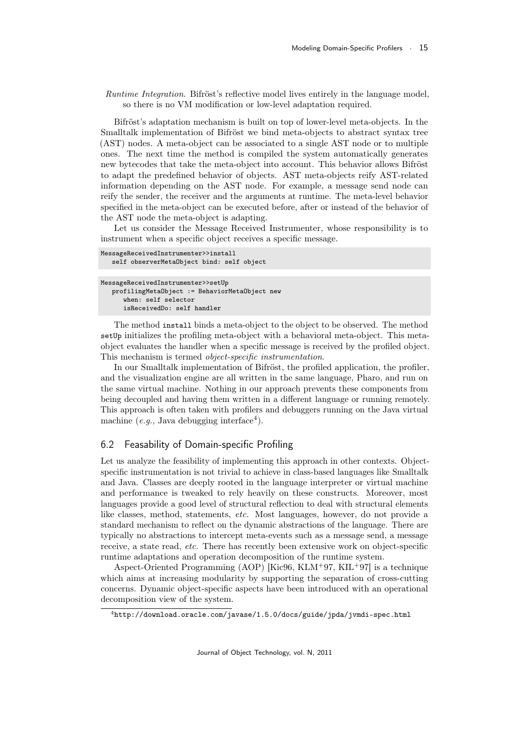Runtime Integration. Bifröst's reflective model lives entirely in the language model, so there is no VM modification or low-level adaptation required.

Bifröst's adaptation mechanism is built on top of lower-level meta-objects. In the Smalltalk implementation of Bifröst we bind meta-objects to abstract syntax tree (AST) nodes. A meta-object can be associated to a single AST node or to multiple ones. The next time the method is compiled the system automatically generates new bytecodes that take the meta-object into account. This behavior allows Bifröst to adapt the predefined behavior of objects. AST meta-objects reify AST-related information depending on the AST node. For example, a message send node can reify the sender, the receiver and the arguments at runtime. The meta-level behavior specified in the meta-object can be executed before, after or instead of the behavior of the AST node the meta-object is adapting.

Let us consider the Message Received Instrumenter, whose responsibility is to instrument when a specific object receives a specific message.

```
MessageReceivedInstrumenter>>install
  self observerMetaObject bind: self object
MessageReceivedInstrumenter>>setUp
  profilingMetaObject := BehaviorMetaObject new
     when: self selector
```
isReceivedDo: self handler

The method install binds a meta-object to the object to be observed. The method setUp initializes the profiling meta-object with a behavioral meta-object. This metaobject evaluates the handler when a specific message is received by the profiled object. This mechanism is termed object-specific instrumentation.

In our Smalltalk implementation of Bifröst, the profiled application, the profiler, and the visualization engine are all written in the same language, Pharo, and run on the same virtual machine. Nothing in our approach prevents these components from being decoupled and having them written in a different language or running remotely. This approach is often taken with profilers and debuggers running on the Java virtual machine  $(e.g., \text{ Java debugging interface}^4)$  $(e.g., \text{ Java debugging interface}^4)$  $(e.g., \text{ Java debugging interface}^4)$ .

#### 6.2 Feasability of Domain-specific Profiling

Let us analyze the feasibility of implementing this approach in other contexts. Objectspecific instrumentation is not trivial to achieve in class-based languages like Smalltalk and Java. Classes are deeply rooted in the language interpreter or virtual machine and performance is tweaked to rely heavily on these constructs. Moreover, most languages provide a good level of structural reflection to deal with structural elements like classes, method, statements, etc. Most languages, however, do not provide a standard mechanism to reflect on the dynamic abstractions of the language. There are typically no abstractions to intercept meta-events such as a message send, a message receive, a state read, etc. There has recently been extensive work on object-specific runtime adaptations and operation decomposition of the runtime system.

Aspect-Oriented Programming (AOP) [\[Kic96,](#page-17-7) [KLM](#page-18-8)<sup>+</sup>97, [KIL](#page-17-8)<sup>+</sup>97] is a technique which aims at increasing modularity by supporting the separation of cross-cutting concerns. Dynamic object-specific aspects have been introduced with an operational decomposition view of the system.

<span id="page-14-0"></span> $4$ <http://download.oracle.com/javase/1.5.0/docs/guide/jpda/jvmdi-spec.html>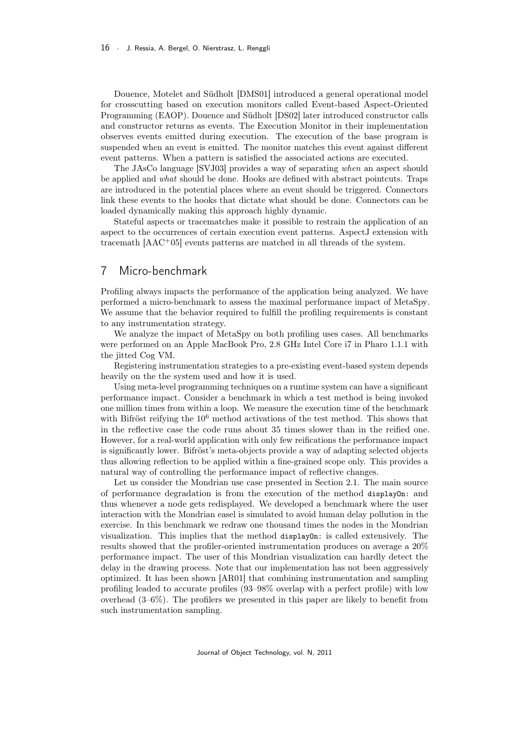Douence, Motelet and Südholt [\[DMS01\]](#page-17-9) introduced a general operational model for crosscutting based on execution monitors called Event-based Aspect-Oriented Programming (EAOP). Douence and Südholt [\[DS02\]](#page-17-10) later introduced constructor calls and constructor returns as events. The Execution Monitor in their implementation observes events emitted during execution. The execution of the base program is suspended when an event is emitted. The monitor matches this event against different event patterns. When a pattern is satisfied the associated actions are executed.

The JAsCo language [\[SVJ03\]](#page-19-6) provides a way of separating when an aspect should be applied and what should be done. Hooks are defined with abstract pointcuts. Traps are introduced in the potential places where an event should be triggered. Connectors link these events to the hooks that dictate what should be done. Connectors can be loaded dynamically making this approach highly dynamic.

Stateful aspects or tracematches make it possible to restrain the application of an aspect to the occurrences of certain execution event patterns. AspectJ extension with tracemath [\[AAC](#page-16-2)<sup>+</sup>05] events patterns are matched in all threads of the system.

## <span id="page-15-0"></span>7 Micro-benchmark

Profiling always impacts the performance of the application being analyzed. We have performed a micro-benchmark to assess the maximal performance impact of MetaSpy. We assume that the behavior required to fulfill the profiling requirements is constant to any instrumentation strategy.

We analyze the impact of MetaSpy on both profiling uses cases. All benchmarks were performed on an Apple MacBook Pro, 2.8 GHz Intel Core i7 in Pharo 1.1.1 with the jitted Cog VM.

Registering instrumentation strategies to a pre-existing event-based system depends heavily on the the system used and how it is used.

Using meta-level programming techniques on a runtime system can have a significant performance impact. Consider a benchmark in which a test method is being invoked one million times from within a loop. We measure the execution time of the benchmark with Bifröst reifying the  $10^6$  method activations of the test method. This shows that in the reflective case the code runs about 35 times slower than in the reified one. However, for a real-world application with only few reifications the performance impact is significantly lower. Bifröst's meta-objects provide a way of adapting selected objects thus allowing reflection to be applied within a fine-grained scope only. This provides a natural way of controlling the performance impact of reflective changes.

Let us consider the Mondrian use case presented in [Section 2.1.](#page-2-0) The main source of performance degradation is from the execution of the method displayOn: and thus whenever a node gets redisplayed. We developed a benchmark where the user interaction with the Mondrian easel is simulated to avoid human delay pollution in the exercise. In this benchmark we redraw one thousand times the nodes in the Mondrian visualization. This implies that the method displayOn: is called extensively. The results showed that the profiler-oriented instrumentation produces on average a 20% performance impact. The user of this Mondrian visualization can hardly detect the delay in the drawing process. Note that our implementation has not been aggressively optimized. It has been shown [\[AR01\]](#page-16-3) that combining instrumentation and sampling profiling leaded to accurate profiles (93–98% overlap with a perfect profile) with low overhead (3–6%). The profilers we presented in this paper are likely to benefit from such instrumentation sampling.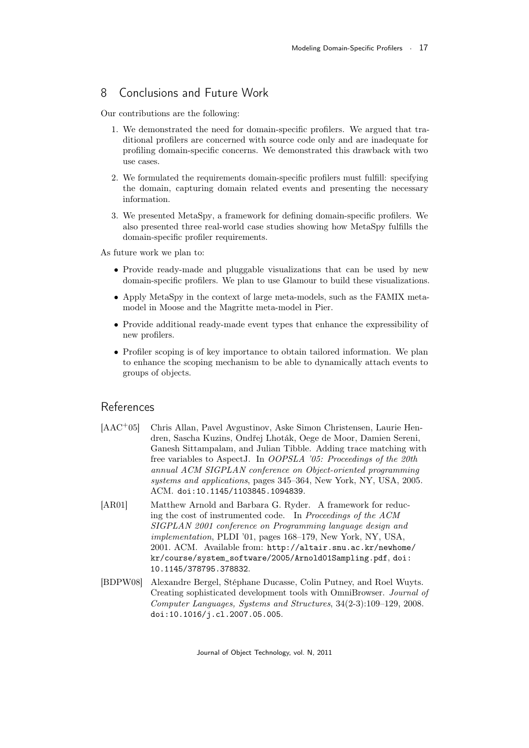# <span id="page-16-0"></span>8 Conclusions and Future Work

Our contributions are the following:

- 1. We demonstrated the need for domain-specific profilers. We argued that traditional profilers are concerned with source code only and are inadequate for profiling domain-specific concerns. We demonstrated this drawback with two use cases.
- 2. We formulated the requirements domain-specific profilers must fulfill: specifying the domain, capturing domain related events and presenting the necessary information.
- 3. We presented MetaSpy, a framework for defining domain-specific profilers. We also presented three real-world case studies showing how MetaSpy fulfills the domain-specific profiler requirements.

As future work we plan to:

- Provide ready-made and pluggable visualizations that can be used by new domain-specific profilers. We plan to use Glamour to build these visualizations.
- Apply MetaSpy in the context of large meta-models, such as the FAMIX metamodel in Moose and the Magritte meta-model in Pier.
- Provide additional ready-made event types that enhance the expressibility of new profilers.
- Profiler scoping is of key importance to obtain tailored information. We plan to enhance the scoping mechanism to be able to dynamically attach events to groups of objects.

## References

- <span id="page-16-2"></span>[AAC+05] Chris Allan, Pavel Avgustinov, Aske Simon Christensen, Laurie Hendren, Sascha Kuzins, Ondřej Lhoták, Oege de Moor, Damien Sereni, Ganesh Sittampalam, and Julian Tibble. Adding trace matching with free variables to AspectJ. In OOPSLA '05: Proceedings of the 20th annual ACM SIGPLAN conference on Object-oriented programming systems and applications, pages 345–364, New York, NY, USA, 2005. ACM. [doi:10.1145/1103845.1094839](http://dx.doi.org/10.1145/1103845.1094839).
- <span id="page-16-3"></span>[AR01] Matthew Arnold and Barbara G. Ryder. A framework for reducing the cost of instrumented code. In Proceedings of the ACM SIGPLAN 2001 conference on Programming language design and implementation, PLDI '01, pages 168–179, New York, NY, USA, 2001. ACM. Available from: [http://altair.snu.ac.kr/newhome/](http://altair.snu.ac.kr/newhome/kr/course/system_software/2005/Arnold01Sampling.pdf) [kr/course/system\\_software/2005/Arnold01Sampling.pdf](http://altair.snu.ac.kr/newhome/kr/course/system_software/2005/Arnold01Sampling.pdf), [doi:](http://dx.doi.org/10.1145/378795.378832) [10.1145/378795.378832](http://dx.doi.org/10.1145/378795.378832).
- <span id="page-16-1"></span>[BDPW08] Alexandre Bergel, Stéphane Ducasse, Colin Putney, and Roel Wuyts. Creating sophisticated development tools with OmniBrowser. Journal of Computer Languages, Systems and Structures, 34(2-3):109–129, 2008. [doi:10.1016/j.cl.2007.05.005](http://dx.doi.org/10.1016/j.cl.2007.05.005).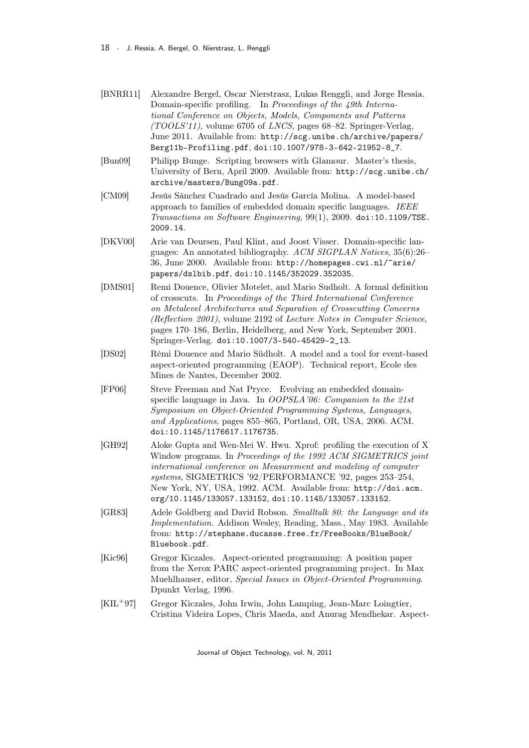- <span id="page-17-3"></span>[BNRR11] Alexandre Bergel, Oscar Nierstrasz, Lukas Renggli, and Jorge Ressia. Domain-specific profiling. In Proceedings of the 49th International Conference on Objects, Models, Components and Patterns  $(TOOLS'11)$ , volume 6705 of *LNCS*, pages 68–82. Springer-Verlag, June 2011. Available from: [http://scg.unibe.ch/archive/papers/](http://scg.unibe.ch/archive/papers/Berg11b-Profiling.pdf) [Berg11b-Profiling.pdf](http://scg.unibe.ch/archive/papers/Berg11b-Profiling.pdf), [doi:10.1007/978-3-642-21952-8\\_7](http://dx.doi.org/10.1007/978-3-642-21952-8_7).
- <span id="page-17-6"></span>[Bun09] Philipp Bunge. Scripting browsers with Glamour. Master's thesis, University of Bern, April 2009. Available from: [http://scg.unibe.ch/](http://scg.unibe.ch/archive/masters/Bung09a.pdf) [archive/masters/Bung09a.pdf](http://scg.unibe.ch/archive/masters/Bung09a.pdf).
- <span id="page-17-1"></span>[CM09] Jesús Sánchez Cuadrado and Jesús García Molina. A model-based approach to families of embedded domain specific languages. IEEE Transactions on Software Engineering, 99(1), 2009. [doi:10.1109/TSE.](http://dx.doi.org/10.1109/TSE.2009.14) [2009.14](http://dx.doi.org/10.1109/TSE.2009.14).
- <span id="page-17-0"></span>[DKV00] Arie van Deursen, Paul Klint, and Joost Visser. Domain-specific languages: An annotated bibliography. ACM SIGPLAN Notices, 35(6):26– 36, June 2000. Available from: [http://homepages.cwi.nl/~arie/](http://homepages.cwi.nl/~arie/papers/dslbib.pdf) [papers/dslbib.pdf](http://homepages.cwi.nl/~arie/papers/dslbib.pdf), [doi:10.1145/352029.352035](http://dx.doi.org/10.1145/352029.352035).
- <span id="page-17-9"></span>[DMS01] Remi Douence, Olivier Motelet, and Mario Sudholt. A formal definition of crosscuts. In Proceedings of the Third International Conference on Metalevel Architectures and Separation of Crosscutting Concerns (Reflection 2001), volume 2192 of Lecture Notes in Computer Science, pages 170–186, Berlin, Heidelberg, and New York, September 2001. Springer-Verlag. [doi:10.1007/3-540-45429-2\\_13](http://dx.doi.org/10.1007/3-540-45429-2_13).
- <span id="page-17-10"></span>[DS02] Rémi Douence and Mario Südholt. A model and a tool for event-based aspect-oriented programming (EAOP). Technical report, Ecole des Mines de Nantes, December 2002.
- <span id="page-17-2"></span>[FP06] Steve Freeman and Nat Pryce. Evolving an embedded domainspecific language in Java. In *OOPSLA'06: Companion to the 21st* Symposium on Object-Oriented Programming Systems, Languages, and Applications, pages 855–865, Portland, OR, USA, 2006. ACM. [doi:10.1145/1176617.1176735](http://dx.doi.org/10.1145/1176617.1176735).
- <span id="page-17-5"></span>[GH92] Aloke Gupta and Wen-Mei W. Hwu. Xprof: profiling the execution of X Window programs. In Proceedings of the 1992 ACM SIGMETRICS joint international conference on Measurement and modeling of computer systems, SIGMETRICS '92/PERFORMANCE '92, pages 253–254, New York, NY, USA, 1992. ACM. Available from: [http://doi.acm.](http://doi.acm.org/10.1145/133057.133152) [org/10.1145/133057.133152](http://doi.acm.org/10.1145/133057.133152), [doi:10.1145/133057.133152](http://dx.doi.org/10.1145/133057.133152).
- <span id="page-17-4"></span>[GR83] Adele Goldberg and David Robson. Smalltalk 80: the Language and its Implementation. Addison Wesley, Reading, Mass., May 1983. Available from: [http://stephane.ducasse.free.fr/FreeBooks/BlueBook/](http://stephane.ducasse.free.fr/FreeBooks/BlueBook/Bluebook.pdf) [Bluebook.pdf](http://stephane.ducasse.free.fr/FreeBooks/BlueBook/Bluebook.pdf).
- <span id="page-17-7"></span>[Kic96] Gregor Kiczales. Aspect-oriented programming: A position paper from the Xerox PARC aspect-oriented programming project. In Max Muehlhauser, editor, Special Issues in Object-Oriented Programming. Dpunkt Verlag, 1996.
- <span id="page-17-8"></span>[KIL<sup>+</sup>97] Gregor Kiczales, John Irwin, John Lamping, Jean-Marc Loingtier, Cristina Videira Lopes, Chris Maeda, and Anurag Mendhekar. Aspect-

[Journal of Object Technology, vol. N, 2011](http://dx.doi.org/10.5381/jot.201Y.VV.N.aN)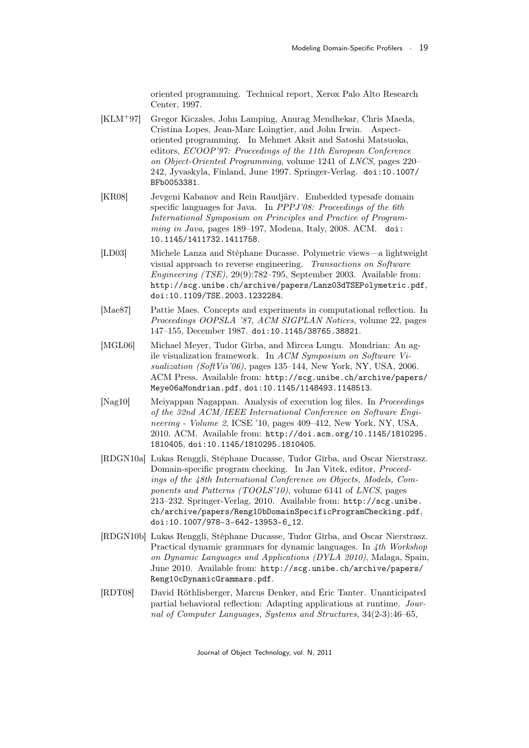oriented programming. Technical report, Xerox Palo Alto Research Center, 1997.

- <span id="page-18-8"></span>[KLM<sup>+</sup>97] Gregor Kiczales, John Lamping, Anurag Mendhekar, Chris Maeda, Cristina Lopes, Jean-Marc Loingtier, and John Irwin. Aspectoriented programming. In Mehmet Aksit and Satoshi Matsuoka, editors, ECOOP'97: Proceedings of the 11th European Conference on Object-Oriented Programming, volume 1241 of LNCS, pages 220– 242, Jyvaskyla, Finland, June 1997. Springer-Verlag. [doi:10.1007/](http://dx.doi.org/10.1007/BFb0053381) [BFb0053381](http://dx.doi.org/10.1007/BFb0053381).
- <span id="page-18-1"></span>[KR08] Jevgeni Kabanov and Rein Raudjärv. Embedded typesafe domain specific languages for Java. In PPPJ'08: Proceedings of the 6th International Symposium on Principles and Practice of Programming in Java, pages 189–197, Modena, Italy, 2008. ACM. [doi:](http://dx.doi.org/10.1145/1411732.1411758) [10.1145/1411732.1411758](http://dx.doi.org/10.1145/1411732.1411758).
- <span id="page-18-5"></span>[LD03] Michele Lanza and Stéphane Ducasse. Polymetric views—a lightweight visual approach to reverse engineering. Transactions on Software Engineering (TSE), 29(9):782–795, September 2003. Available from: <http://scg.unibe.ch/archive/papers/Lanz03dTSEPolymetric.pdf>, [doi:10.1109/TSE.2003.1232284](http://dx.doi.org/10.1109/TSE.2003.1232284).
- <span id="page-18-7"></span>[Mae87] Pattie Maes. Concepts and experiments in computational reflection. In Proceedings OOPSLA '87, ACM SIGPLAN Notices, volume 22, pages 147–155, December 1987. [doi:10.1145/38765.38821](http://dx.doi.org/10.1145/38765.38821).
- <span id="page-18-2"></span>[MGL06] Michael Meyer, Tudor Gîrba, and Mircea Lungu. Mondrian: An agile visualization framework. In ACM Symposium on Software Visualization (SoftVis'06), pages 135–144, New York, NY, USA, 2006. ACM Press. Available from: [http://scg.unibe.ch/archive/papers/](http://scg.unibe.ch/archive/papers/Meye06aMondrian.pdf) [Meye06aMondrian.pdf](http://scg.unibe.ch/archive/papers/Meye06aMondrian.pdf), [doi:10.1145/1148493.1148513](http://dx.doi.org/10.1145/1148493.1148513).
- <span id="page-18-4"></span>[Nag10] Meiyappan Nagappan. Analysis of execution log files. In Proceedings of the 32nd ACM/IEEE International Conference on Software Engineering - Volume 2, ICSE '10, pages 409–412, New York, NY, USA, 2010. ACM. Available from: [http://doi.acm.org/10.1145/1810295.](http://doi.acm.org/10.1145/1810295.1810405) [1810405](http://doi.acm.org/10.1145/1810295.1810405), [doi:10.1145/1810295.1810405](http://dx.doi.org/10.1145/1810295.1810405).
- <span id="page-18-0"></span>[RDGN10a] Lukas Renggli, Stéphane Ducasse, Tudor Gîrba, and Oscar Nierstrasz. Domain-specific program checking. In Jan Vitek, editor, Proceedings of the 48th International Conference on Objects, Models, Components and Patterns (TOOLS'10), volume 6141 of LNCS, pages 213–232. Springer-Verlag, 2010. Available from: [http://scg.unibe.](http://scg.unibe.ch/archive/papers/Reng10bDomainSpecificProgramChecking.pdf) [ch/archive/papers/Reng10bDomainSpecificProgramChecking.pdf](http://scg.unibe.ch/archive/papers/Reng10bDomainSpecificProgramChecking.pdf), [doi:10.1007/978-3-642-13953-6\\_12](http://dx.doi.org/10.1007/978-3-642-13953-6_12).
- <span id="page-18-3"></span>[RDGN10b] Lukas Renggli, Stéphane Ducasse, Tudor Gîrba, and Oscar Nierstrasz. Practical dynamic grammars for dynamic languages. In 4th Workshop on Dynamic Languages and Applications (DYLA 2010), Malaga, Spain, June 2010. Available from: [http://scg.unibe.ch/archive/papers/](http://scg.unibe.ch/archive/papers/Reng10cDynamicGrammars.pdf) [Reng10cDynamicGrammars.pdf](http://scg.unibe.ch/archive/papers/Reng10cDynamicGrammars.pdf).
- <span id="page-18-6"></span>[RDT08] David Röthlisberger, Marcus Denker, and Éric Tanter. Unanticipated partial behavioral reflection: Adapting applications at runtime. Journal of Computer Languages, Systems and Structures, 34(2-3):46–65,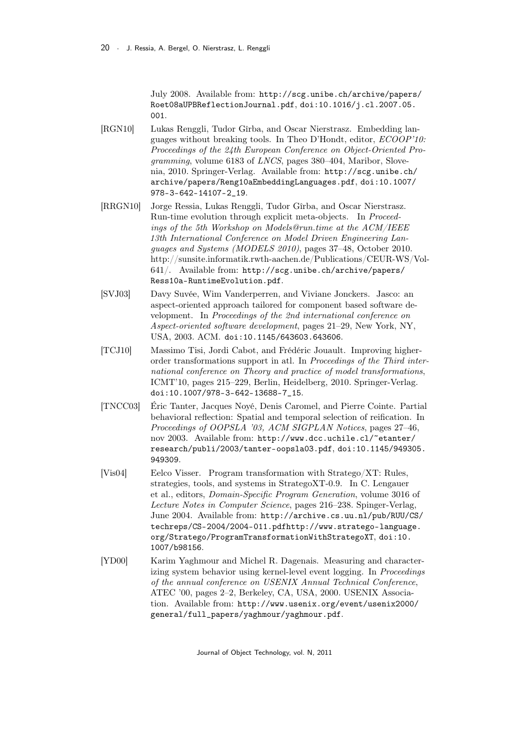July 2008. Available from: [http://scg.unibe.ch/archive/papers/](http://scg.unibe.ch/archive/papers/Roet08aUPBReflectionJournal.pdf) [Roet08aUPBReflectionJournal.pdf](http://scg.unibe.ch/archive/papers/Roet08aUPBReflectionJournal.pdf), [doi:10.1016/j.cl.2007.05.](http://dx.doi.org/10.1016/j.cl.2007.05.001) [001](http://dx.doi.org/10.1016/j.cl.2007.05.001).

- <span id="page-19-2"></span>[RGN10] Lukas Renggli, Tudor Gîrba, and Oscar Nierstrasz. Embedding languages without breaking tools. In Theo D'Hondt, editor, ECOOP'10: Proceedings of the 24th European Conference on Object-Oriented Programming, volume 6183 of LNCS, pages 380–404, Maribor, Slovenia, 2010. Springer-Verlag. Available from: [http://scg.unibe.ch/](http://scg.unibe.ch/archive/papers/Reng10aEmbeddingLanguages.pdf) [archive/papers/Reng10aEmbeddingLanguages.pdf](http://scg.unibe.ch/archive/papers/Reng10aEmbeddingLanguages.pdf), [doi:10.1007/](http://dx.doi.org/10.1007/978-3-642-14107-2_19) [978-3-642-14107-2\\_19](http://dx.doi.org/10.1007/978-3-642-14107-2_19).
- <span id="page-19-3"></span>[RRGN10] Jorge Ressia, Lukas Renggli, Tudor Gîrba, and Oscar Nierstrasz. Run-time evolution through explicit meta-objects. In Proceedings of the 5th Workshop on Models@run.time at the ACM/IEEE 13th International Conference on Model Driven Engineering Languages and Systems (MODELS 2010), pages 37–48, October 2010. http://sunsite.informatik.rwth-aachen.de/Publications/CEUR-WS/Vol-641/. Available from: [http://scg.unibe.ch/archive/papers/](http://scg.unibe.ch/archive/papers/Ress10a-RuntimeEvolution.pdf) [Ress10a-RuntimeEvolution.pdf](http://scg.unibe.ch/archive/papers/Ress10a-RuntimeEvolution.pdf).
- <span id="page-19-6"></span>[SVJ03] Davy Suvée, Wim Vanderperren, and Viviane Jonckers. Jasco: an aspect-oriented approach tailored for component based software development. In Proceedings of the 2nd international conference on Aspect-oriented software development, pages 21–29, New York, NY, USA, 2003. ACM. [doi:10.1145/643603.643606](http://dx.doi.org/10.1145/643603.643606).
- <span id="page-19-1"></span>[TCJ10] Massimo Tisi, Jordi Cabot, and Frédéric Jouault. Improving higherorder transformations support in atl. In Proceedings of the Third international conference on Theory and practice of model transformations, ICMT'10, pages 215–229, Berlin, Heidelberg, 2010. Springer-Verlag. [doi:10.1007/978-3-642-13688-7\\_15](http://dx.doi.org/10.1007/978-3-642-13688-7_15).
- <span id="page-19-5"></span>[TNCC03] Éric Tanter, Jacques Noyé, Denis Caromel, and Pierre Cointe. Partial behavioral reflection: Spatial and temporal selection of reification. In Proceedings of OOPSLA '03, ACM SIGPLAN Notices, pages 27–46, nov 2003. Available from: [http://www.dcc.uchile.cl/~etanter/](http://www.dcc.uchile.cl/~etanter/research/publi/2003/tanter-oopsla03.pdf) [research/publi/2003/tanter-oopsla03.pdf](http://www.dcc.uchile.cl/~etanter/research/publi/2003/tanter-oopsla03.pdf), [doi:10.1145/949305.](http://dx.doi.org/10.1145/949305.949309) [949309](http://dx.doi.org/10.1145/949305.949309).
- <span id="page-19-0"></span>[Vis04] Eelco Visser. Program transformation with Stratego/XT: Rules, strategies, tools, and systems in StrategoXT-0.9. In C. Lengauer et al., editors, Domain-Specific Program Generation, volume 3016 of Lecture Notes in Computer Science, pages 216–238. Spinger-Verlag, June 2004. Available from: [http://archive.cs.uu.nl/pub/RUU/CS/](http://archive.cs.uu.nl/pub/RUU/CS/techreps/CS-2004/2004-011.pdf http://www.stratego-language.org/Stratego/ProgramTransformationWithStrategoXT) [techreps/CS-2004/2004-011.pdfhttp://www.stratego-language.](http://archive.cs.uu.nl/pub/RUU/CS/techreps/CS-2004/2004-011.pdf http://www.stratego-language.org/Stratego/ProgramTransformationWithStrategoXT) [org/Stratego/ProgramTransformationWithStrategoXT](http://archive.cs.uu.nl/pub/RUU/CS/techreps/CS-2004/2004-011.pdf http://www.stratego-language.org/Stratego/ProgramTransformationWithStrategoXT), [doi:10.](http://dx.doi.org/10.1007/b98156) [1007/b98156](http://dx.doi.org/10.1007/b98156).
- <span id="page-19-4"></span>[YD00] Karim Yaghmour and Michel R. Dagenais. Measuring and characterizing system behavior using kernel-level event logging. In Proceedings of the annual conference on USENIX Annual Technical Conference, ATEC '00, pages 2–2, Berkeley, CA, USA, 2000. USENIX Association. Available from: [http://www.usenix.org/event/usenix2000/](http://www.usenix.org/event/usenix2000/general/full_papers/yaghmour/yaghmour.pdf) [general/full\\_papers/yaghmour/yaghmour.pdf](http://www.usenix.org/event/usenix2000/general/full_papers/yaghmour/yaghmour.pdf).